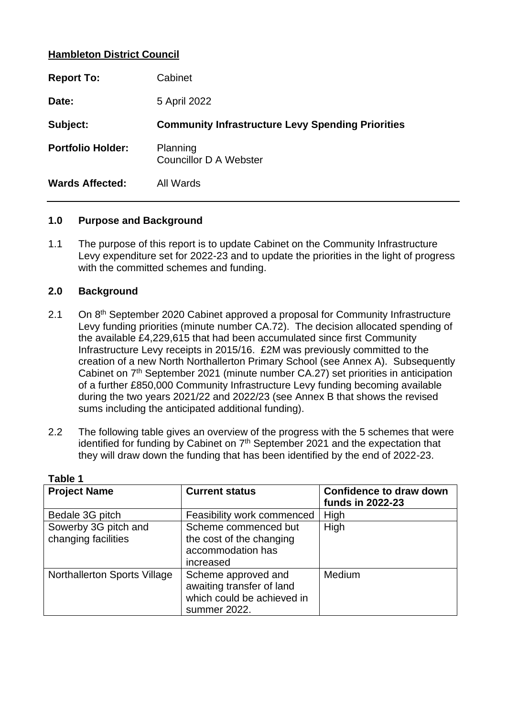## **Hambleton District Council**

| <b>Report To:</b>        | Cabinet                                                  |
|--------------------------|----------------------------------------------------------|
| Date:                    | 5 April 2022                                             |
| Subject:                 | <b>Community Infrastructure Levy Spending Priorities</b> |
| <b>Portfolio Holder:</b> | Planning<br><b>Councillor D A Webster</b>                |
| <b>Wards Affected:</b>   | All Wards                                                |

#### **1.0 Purpose and Background**

1.1 The purpose of this report is to update Cabinet on the Community Infrastructure Levy expenditure set for 2022-23 and to update the priorities in the light of progress with the committed schemes and funding.

## **2.0 Background**

- 2.1 On 8<sup>th</sup> September 2020 Cabinet approved a proposal for Community Infrastructure Levy funding priorities (minute number CA.72). The decision allocated spending of the available £4,229,615 that had been accumulated since first Community Infrastructure Levy receipts in 2015/16. £2M was previously committed to the creation of a new North Northallerton Primary School (see Annex A). Subsequently Cabinet on 7<sup>th</sup> September 2021 (minute number CA.27) set priorities in anticipation of a further £850,000 Community Infrastructure Levy funding becoming available during the two years 2021/22 and 2022/23 (see Annex B that shows the revised sums including the anticipated additional funding).
- 2.2 The following table gives an overview of the progress with the 5 schemes that were identified for funding by Cabinet on 7<sup>th</sup> September 2021 and the expectation that they will draw down the funding that has been identified by the end of 2022-23.

| <b>Project Name</b>                         | <b>Current status</b>                                                                          | <b>Confidence to draw down</b><br>funds in 2022-23 |
|---------------------------------------------|------------------------------------------------------------------------------------------------|----------------------------------------------------|
| Bedale 3G pitch                             | Feasibility work commenced                                                                     | High                                               |
| Sowerby 3G pitch and<br>changing facilities | Scheme commenced but<br>the cost of the changing<br>accommodation has<br>increased             | High                                               |
| <b>Northallerton Sports Village</b>         | Scheme approved and<br>awaiting transfer of land<br>which could be achieved in<br>summer 2022. | Medium                                             |

**Table 1**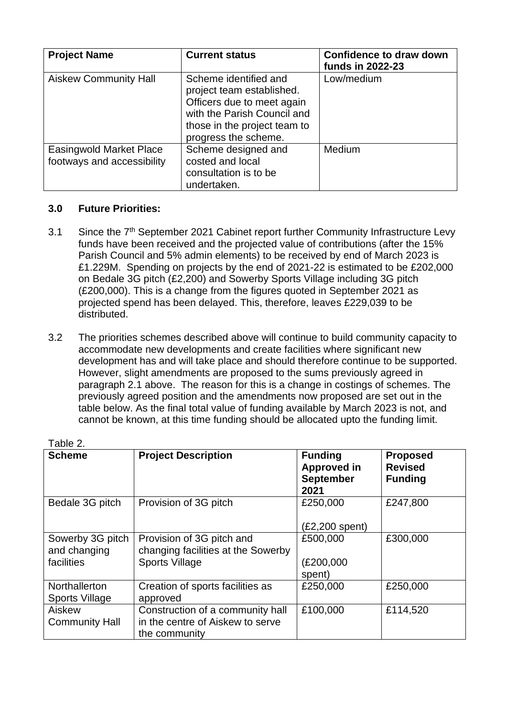| <b>Project Name</b>                                          | <b>Current status</b>                                                                                                                                                   | <b>Confidence to draw down</b><br>funds in 2022-23 |
|--------------------------------------------------------------|-------------------------------------------------------------------------------------------------------------------------------------------------------------------------|----------------------------------------------------|
| <b>Aiskew Community Hall</b>                                 | Scheme identified and<br>project team established.<br>Officers due to meet again<br>with the Parish Council and<br>those in the project team to<br>progress the scheme. | Low/medium                                         |
| <b>Easingwold Market Place</b><br>footways and accessibility | Scheme designed and<br>costed and local<br>consultation is to be<br>undertaken.                                                                                         | Medium                                             |

## **3.0 Future Priorities:**

- 3.1 Since the 7<sup>th</sup> September 2021 Cabinet report further Community Infrastructure Levy funds have been received and the projected value of contributions (after the 15% Parish Council and 5% admin elements) to be received by end of March 2023 is £1.229M. Spending on projects by the end of 2021-22 is estimated to be £202,000 on Bedale 3G pitch (£2,200) and Sowerby Sports Village including 3G pitch (£200,000). This is a change from the figures quoted in September 2021 as projected spend has been delayed. This, therefore, leaves £229,039 to be distributed.
- 3.2 The priorities schemes described above will continue to build community capacity to accommodate new developments and create facilities where significant new development has and will take place and should therefore continue to be supported. However, slight amendments are proposed to the sums previously agreed in paragraph 2.1 above. The reason for this is a change in costings of schemes. The previously agreed position and the amendments now proposed are set out in the table below. As the final total value of funding available by March 2023 is not, and cannot be known, at this time funding should be allocated upto the funding limit.

| Table 2.                                       |                                                                                          |                                                                  |                                                     |
|------------------------------------------------|------------------------------------------------------------------------------------------|------------------------------------------------------------------|-----------------------------------------------------|
| <b>Scheme</b>                                  | <b>Project Description</b>                                                               | <b>Funding</b><br><b>Approved in</b><br><b>September</b><br>2021 | <b>Proposed</b><br><b>Revised</b><br><b>Funding</b> |
| Bedale 3G pitch                                | Provision of 3G pitch                                                                    | £250,000<br>$(E2,200$ spent)                                     | £247,800                                            |
| Sowerby 3G pitch<br>and changing<br>facilities | Provision of 3G pitch and<br>changing facilities at the Sowerby<br><b>Sports Village</b> | £500,000<br>(E200,000)<br>spent)                                 | £300,000                                            |
| Northallerton<br>Sports Village                | Creation of sports facilities as<br>approved                                             | £250,000                                                         | £250,000                                            |
| Aiskew<br><b>Community Hall</b>                | Construction of a community hall<br>in the centre of Aiskew to serve<br>the community    | £100,000                                                         | £114,520                                            |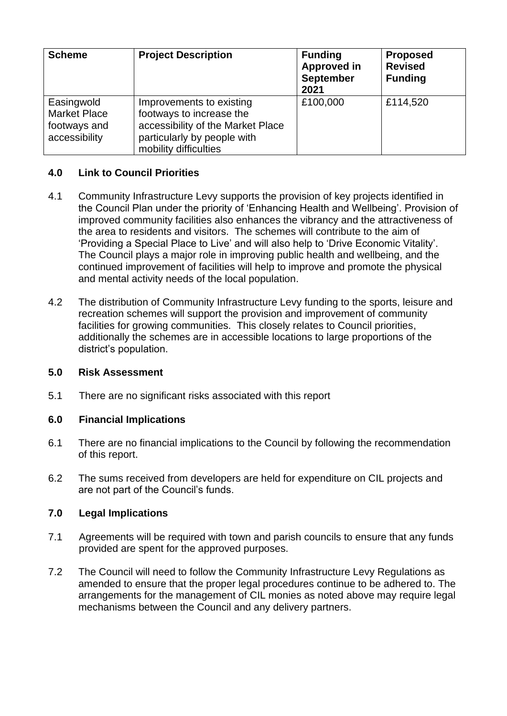| <b>Scheme</b>                                                      | <b>Project Description</b>                                                                                                                        | <b>Funding</b><br><b>Approved in</b><br><b>September</b><br>2021 | <b>Proposed</b><br><b>Revised</b><br><b>Funding</b> |
|--------------------------------------------------------------------|---------------------------------------------------------------------------------------------------------------------------------------------------|------------------------------------------------------------------|-----------------------------------------------------|
| Easingwold<br><b>Market Place</b><br>footways and<br>accessibility | Improvements to existing<br>footways to increase the<br>accessibility of the Market Place<br>particularly by people with<br>mobility difficulties | £100,000                                                         | £114,520                                            |

## **4.0 Link to Council Priorities**

- 4.1 Community Infrastructure Levy supports the provision of key projects identified in the Council Plan under the priority of 'Enhancing Health and Wellbeing'. Provision of improved community facilities also enhances the vibrancy and the attractiveness of the area to residents and visitors. The schemes will contribute to the aim of 'Providing a Special Place to Live' and will also help to 'Drive Economic Vitality'. The Council plays a major role in improving public health and wellbeing, and the continued improvement of facilities will help to improve and promote the physical and mental activity needs of the local population.
- 4.2 The distribution of Community Infrastructure Levy funding to the sports, leisure and recreation schemes will support the provision and improvement of community facilities for growing communities. This closely relates to Council priorities, additionally the schemes are in accessible locations to large proportions of the district's population.

#### **5.0 Risk Assessment**

5.1 There are no significant risks associated with this report

#### **6.0 Financial Implications**

- 6.1 There are no financial implications to the Council by following the recommendation of this report.
- 6.2 The sums received from developers are held for expenditure on CIL projects and are not part of the Council's funds.

#### **7.0 Legal Implications**

- 7.1 Agreements will be required with town and parish councils to ensure that any funds provided are spent for the approved purposes.
- 7.2 The Council will need to follow the Community Infrastructure Levy Regulations as amended to ensure that the proper legal procedures continue to be adhered to. The arrangements for the management of CIL monies as noted above may require legal mechanisms between the Council and any delivery partners.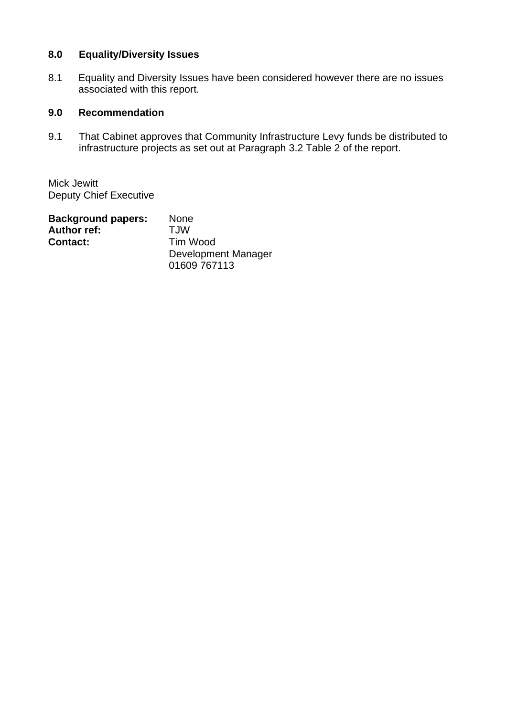# **8.0 Equality/Diversity Issues**

8.1 Equality and Diversity Issues have been considered however there are no issues associated with this report.

## **9.0 Recommendation**

9.1 That Cabinet approves that Community Infrastructure Levy funds be distributed to infrastructure projects as set out at Paragraph 3.2 Table 2 of the report.

Mick Jewitt Deputy Chief Executive

| <b>Background papers:</b> | <b>None</b>         |
|---------------------------|---------------------|
| <b>Author ref:</b>        | T.JW                |
| <b>Contact:</b>           | Tim Wood            |
|                           | Development Manager |
|                           | 01609 767113        |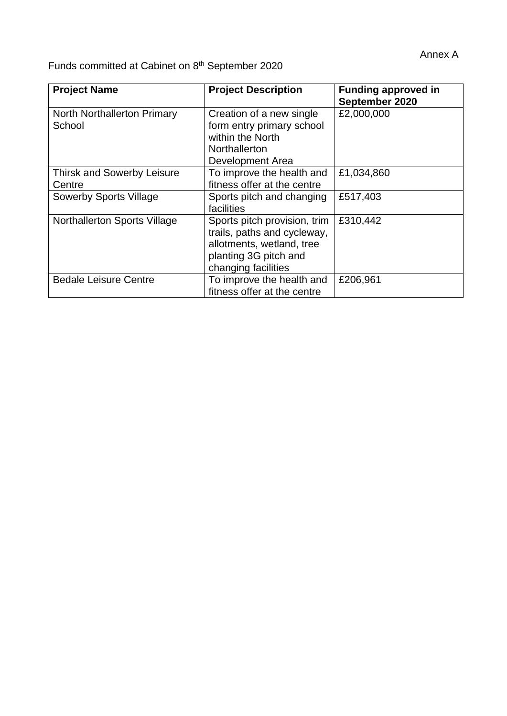Funds committed at Cabinet on 8<sup>th</sup> September 2020

| <b>Project Name</b>                          | <b>Project Description</b>                                                                                                               | <b>Funding approved in</b><br>September 2020 |
|----------------------------------------------|------------------------------------------------------------------------------------------------------------------------------------------|----------------------------------------------|
| <b>North Northallerton Primary</b><br>School | Creation of a new single<br>form entry primary school<br>within the North<br>Northallerton<br>Development Area                           | £2,000,000                                   |
| <b>Thirsk and Sowerby Leisure</b><br>Centre  | To improve the health and<br>fitness offer at the centre                                                                                 | £1,034,860                                   |
| <b>Sowerby Sports Village</b>                | Sports pitch and changing<br>facilities                                                                                                  | £517,403                                     |
| <b>Northallerton Sports Village</b>          | Sports pitch provision, trim<br>trails, paths and cycleway,<br>allotments, wetland, tree<br>planting 3G pitch and<br>changing facilities | £310,442                                     |
| <b>Bedale Leisure Centre</b>                 | To improve the health and<br>fitness offer at the centre                                                                                 | £206,961                                     |